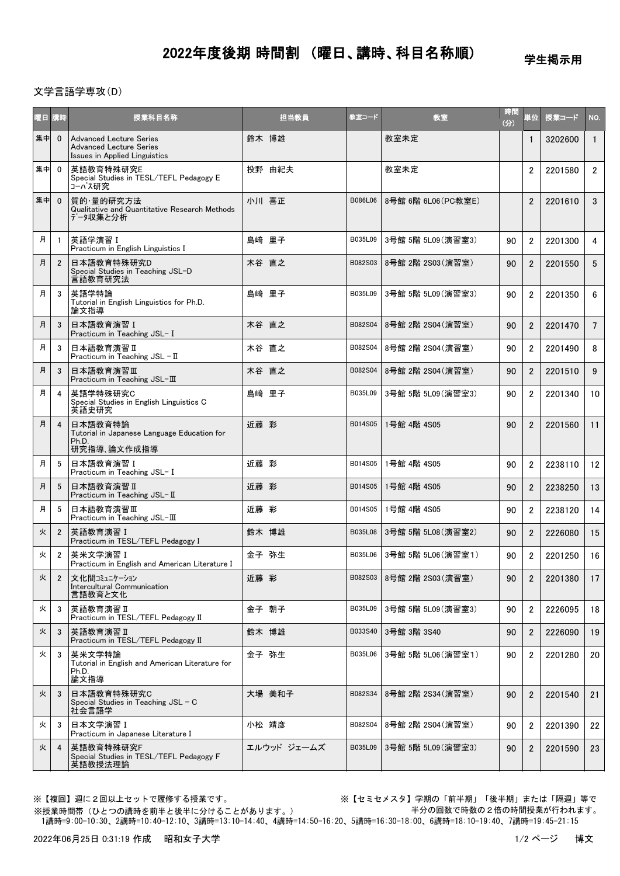## 2022年度後期 時間割 (曜日、講時、科目名称順)

学生掲示用

## 文学言語学専攻(D)

| 曜日 講時 |                | 授業科目名称                                                                                            | 担当教員        | 教室コード   | 教室                 | 時間<br>(分) | 単位             | 授業コード   | NO.             |
|-------|----------------|---------------------------------------------------------------------------------------------------|-------------|---------|--------------------|-----------|----------------|---------|-----------------|
| 集中    | $\mathbf{0}$   | <b>Advanced Lecture Series</b><br><b>Advanced Lecture Series</b><br>Issues in Applied Linguistics | 鈴木 博雄       |         | 教室未定               |           | 1              | 3202600 | $\mathbf{1}$    |
| 集中    | $\mathbf{0}$   | 英語教育特殊研究E<br>Special Studies in TESL/TEFL Pedagogy E<br>コーパス研究                                    | 投野 由紀夫      |         | 教室未定               |           | $\overline{2}$ | 2201580 | $\overline{2}$  |
| 集中    | $\mathbf{0}$   | 質的·量的研究方法<br>Qualitative and Quantitative Research Methods<br>データ収集と分析                            | 小川 喜正       | B086L06 | 8号館 6階 6L06(PC教室E) |           | $\overline{2}$ | 2201610 | 3               |
| 月     | $\overline{1}$ | 英語学演習 I<br>Practicum in English Linguistics I                                                     | 島﨑 里子       | B035L09 | 3号館 5階 5L09 (演習室3) | 90        | $\overline{2}$ | 2201300 | $\overline{4}$  |
| 月     | $\overline{2}$ | 日本語教育特殊研究D<br>Special Studies in Teaching JSL-D<br>言語教育研究法                                        | 木谷 直之       | B082S03 | 8号館 2階 2S03 (演習室)  | 90        | $\overline{2}$ | 2201550 | 5               |
| 月     | 3              | 英語学特論<br>Tutorial in English Linguistics for Ph.D.<br>論文指導                                        | 島﨑 里子       | B035L09 | 3号館 5階 5L09 (演習室3) | 90        | $\overline{2}$ | 2201350 | 6               |
| 月     | 3              | 日本語教育演習 I<br>Practicum in Teaching JSL- I                                                         | 木谷 直之       | B082S04 | 8号館 2階 2S04 (演習室)  | 90        | $\overline{2}$ | 2201470 | $7\overline{ }$ |
| 月     | 3              | 日本語教育演習Ⅱ<br>Practicum in Teaching $JSL - II$                                                      | 木谷 直之       | B082S04 | 8号館 2階 2S04 (演習室)  | 90        | 2              | 2201490 | 8               |
| 月     | 3              | 日本語教育演習Ⅲ<br>Practicum in Teaching JSL-Ⅲ                                                           | 木谷 直之       | B082S04 | 8号館 2階 2S04 (演習室)  | 90        | $\overline{2}$ | 2201510 | 9               |
| 月     | $\overline{4}$ | 英語学特殊研究C<br>Special Studies in English Linguistics C<br>英語史研究                                     | 島崎 里子       | B035L09 | 3号館 5階 5L09 (演習室3) | 90        | $\overline{2}$ | 2201340 | 10              |
| 月     | $\overline{4}$ | 日本語教育特論<br>Tutorial in Japanese Language Education for<br>Ph.D.<br>研究指導、論文作成指導                    | 近藤 彩        | B014S05 | 1号館 4階 4S05        | 90        | $\overline{2}$ | 2201560 | 11              |
| 月     | 5              | 日本語教育演習I<br>Practicum in Teaching JSL- I                                                          | 近藤 彩        | B014S05 | 1号館 4階 4S05        | 90        | $\overline{2}$ | 2238110 | 12              |
| 月     | 5              | 日本語教育演習Ⅱ<br>Practicum in Teaching JSL-II                                                          | 近藤 彩        | B014S05 | 1号館 4階 4S05        | 90        | $\overline{2}$ | 2238250 | 13              |
| 月     | 5              | 日本語教育演習Ⅲ<br>Practicum in Teaching JSL-Ⅲ                                                           | 近藤 彩        | B014S05 | 1号館 4階 4S05        | 90        | 2              | 2238120 | 14              |
| 火     | $\overline{2}$ | 英語教育演習 I<br>Practicum in TESL/TEFL Pedagogy I                                                     | 鈴木 博雄       | B035L08 | 3号館 5階 5L08 (演習室2) | 90        | $\overline{2}$ | 2226080 | 15              |
| 火     | $\overline{2}$ | 英米文学演習 I<br>Practicum in English and American Literature I                                        | 金子 弥生       | B035L06 | 3号館 5階 5L06 (演習室1) | 90        | $\overline{2}$ | 2201250 | 16              |
| 火     | $\overline{2}$ | 文化間コミュニケーション<br>Intercultural Communication<br>言語教育と文化                                            | 近藤 彩        | B082S03 | 8号館 2階 2S03 (演習室)  | 90        | 2              | 2201380 | 17              |
| 火     | 3              | 英語教育演習 II<br>Practicum in TESL/TEFL Pedagogy II                                                   | 金子 朝子       | B035L09 | 3号館 5階 5L09 (演習室3) | 90        | $\overline{2}$ | 2226095 | 18              |
| 火     | 3              | 英語教育演習 II<br>Practicum in TESL/TEFL Pedagogy II                                                   | 鈴木 博雄       | B033S40 | 3号館 3階 3S40        | 90        | $\overline{2}$ | 2226090 | 19              |
| 火     | 3              | 英米文学特論<br>Tutorial in English and American Literature for<br>Ph.D.<br>論文指導                        | 金子 弥生       | B035L06 | 3号館 5階 5L06(演習室1)  | 90        | $\overline{2}$ | 2201280 | 20              |
| 火     | 3              | 日本語教育特殊研究C<br>Special Studies in Teaching JSL - C<br>社会言語学                                        | 大場 美和子      | B082S34 | 8号館 2階 2S34 (演習室)  | 90        | $\overline{2}$ | 2201540 | 21              |
| 火     | 3              | 日本文学演習 I<br>Practicum in Japanese Literature I                                                    | 小松 靖彦       | B082S04 | 8号館 2階 2S04 (演習室)  | 90        | $\overline{2}$ | 2201390 | 22              |
| 火     | $\overline{4}$ | 英語教育特殊研究F<br>Special Studies in TESL/TEFL Pedagogy F<br>英語教授法理論                                   | エルウッド ジェームズ | B035L09 | 3号館 5階 5L09(演習室3)  | 90        | $\overline{2}$ | 2201590 | 23              |

※授業時間帯(ひとつの講時を前半と後半に分けることがあります。)

※【複回】週に2回以上セットで履修する授業です。 ※【セミセメスタ】学期の「前半期」「後半期」または「隔週」等で 半分の回数で時数の2倍の時間授業が行われます。

1講時=9:00-10:30、2講時=10:40-12:10、3講時=13:10-14:40、4講時=14:50-16:20、5講時=16:30-18:00、6講時=18:10-19:40、7講時=19:45-21:15